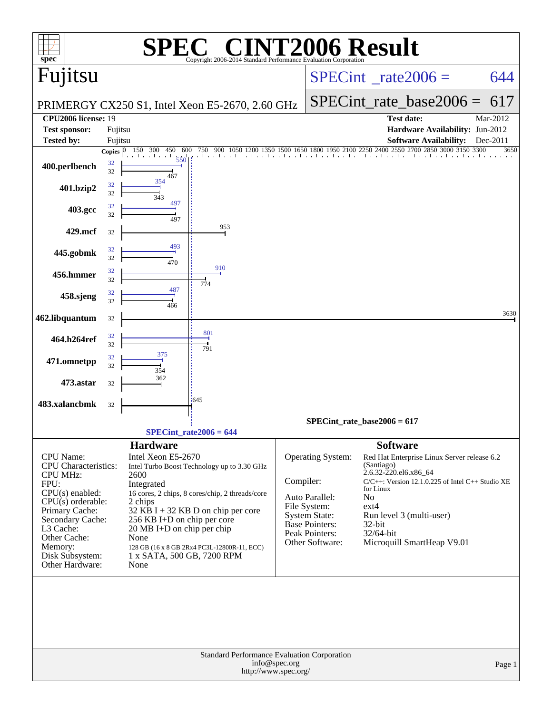| $spec^*$                                                                                                                                                                                                                                                                                                                                                                                                                                                                                                                                                                                                                                      |                          |                                        | $\blacksquare$<br>Copyright 2006-2014 Standard Performance Evaluation Corporation |               |                                                                                                                                    | <b>CINT2006 Result</b>                                                                                                                                                                                                                                                                     |          |
|-----------------------------------------------------------------------------------------------------------------------------------------------------------------------------------------------------------------------------------------------------------------------------------------------------------------------------------------------------------------------------------------------------------------------------------------------------------------------------------------------------------------------------------------------------------------------------------------------------------------------------------------------|--------------------------|----------------------------------------|-----------------------------------------------------------------------------------|---------------|------------------------------------------------------------------------------------------------------------------------------------|--------------------------------------------------------------------------------------------------------------------------------------------------------------------------------------------------------------------------------------------------------------------------------------------|----------|
| Fujitsu                                                                                                                                                                                                                                                                                                                                                                                                                                                                                                                                                                                                                                       |                          |                                        |                                                                                   |               |                                                                                                                                    | $SPECint^{\circ}$ rate 2006 =                                                                                                                                                                                                                                                              | 644      |
|                                                                                                                                                                                                                                                                                                                                                                                                                                                                                                                                                                                                                                               |                          |                                        | PRIMERGY CX250 S1, Intel Xeon E5-2670, 2.60 GHz                                   |               |                                                                                                                                    | $SPECint_rate\_base2006 =$                                                                                                                                                                                                                                                                 | 617      |
| <b>CPU2006 license: 19</b>                                                                                                                                                                                                                                                                                                                                                                                                                                                                                                                                                                                                                    |                          |                                        |                                                                                   |               |                                                                                                                                    | <b>Test date:</b>                                                                                                                                                                                                                                                                          | Mar-2012 |
| <b>Test sponsor:</b>                                                                                                                                                                                                                                                                                                                                                                                                                                                                                                                                                                                                                          | Fujitsu                  |                                        |                                                                                   |               |                                                                                                                                    | Hardware Availability: Jun-2012                                                                                                                                                                                                                                                            |          |
| <b>Tested by:</b>                                                                                                                                                                                                                                                                                                                                                                                                                                                                                                                                                                                                                             | Fujitsu                  |                                        |                                                                                   |               |                                                                                                                                    | <b>Software Availability:</b><br>1650 1800 1950 2100 2250 2400 2550 2700<br>2850 3000 3150 3300                                                                                                                                                                                            | Dec-2011 |
| 400.perlbench                                                                                                                                                                                                                                                                                                                                                                                                                                                                                                                                                                                                                                 | Copies $ 0 $<br>32<br>32 | 150<br>300<br>450<br>600<br>550<br>467 | 750<br>900 1050                                                                   | 1500          |                                                                                                                                    | The closed and and and an                                                                                                                                                                                                                                                                  | 3650     |
| 401.bzip2                                                                                                                                                                                                                                                                                                                                                                                                                                                                                                                                                                                                                                     | 32<br>32                 | 354<br>343                             |                                                                                   |               |                                                                                                                                    |                                                                                                                                                                                                                                                                                            |          |
| 403.gcc                                                                                                                                                                                                                                                                                                                                                                                                                                                                                                                                                                                                                                       | 32<br>32                 | 497<br>497                             |                                                                                   |               |                                                                                                                                    |                                                                                                                                                                                                                                                                                            |          |
| 429.mcf                                                                                                                                                                                                                                                                                                                                                                                                                                                                                                                                                                                                                                       | 32                       |                                        | 953                                                                               |               |                                                                                                                                    |                                                                                                                                                                                                                                                                                            |          |
| 445.gobmk                                                                                                                                                                                                                                                                                                                                                                                                                                                                                                                                                                                                                                     | 32<br>32                 | 493<br>470                             |                                                                                   |               |                                                                                                                                    |                                                                                                                                                                                                                                                                                            |          |
| 456.hmmer                                                                                                                                                                                                                                                                                                                                                                                                                                                                                                                                                                                                                                     | 32<br>32                 |                                        | 910<br>774                                                                        |               |                                                                                                                                    |                                                                                                                                                                                                                                                                                            |          |
| 458.sjeng                                                                                                                                                                                                                                                                                                                                                                                                                                                                                                                                                                                                                                     | 32<br>32                 | 487<br>466                             |                                                                                   |               |                                                                                                                                    |                                                                                                                                                                                                                                                                                            |          |
| 462.libquantum                                                                                                                                                                                                                                                                                                                                                                                                                                                                                                                                                                                                                                | 32                       |                                        |                                                                                   |               |                                                                                                                                    |                                                                                                                                                                                                                                                                                            | 3630     |
| 464.h264ref                                                                                                                                                                                                                                                                                                                                                                                                                                                                                                                                                                                                                                   | 32<br>32                 |                                        | 801                                                                               |               |                                                                                                                                    |                                                                                                                                                                                                                                                                                            |          |
| 471.omnetpp                                                                                                                                                                                                                                                                                                                                                                                                                                                                                                                                                                                                                                   | 32<br>32                 | 375                                    | 791                                                                               |               |                                                                                                                                    |                                                                                                                                                                                                                                                                                            |          |
| 473.astar                                                                                                                                                                                                                                                                                                                                                                                                                                                                                                                                                                                                                                     | 32                       | 354<br>362                             |                                                                                   |               |                                                                                                                                    |                                                                                                                                                                                                                                                                                            |          |
| 483.xalancbmk                                                                                                                                                                                                                                                                                                                                                                                                                                                                                                                                                                                                                                 | 32                       |                                        | $-645$                                                                            |               |                                                                                                                                    |                                                                                                                                                                                                                                                                                            |          |
|                                                                                                                                                                                                                                                                                                                                                                                                                                                                                                                                                                                                                                               |                          |                                        |                                                                                   |               |                                                                                                                                    | $SPECint_rate_base2006 = 617$                                                                                                                                                                                                                                                              |          |
|                                                                                                                                                                                                                                                                                                                                                                                                                                                                                                                                                                                                                                               |                          |                                        |                                                                                   |               |                                                                                                                                    |                                                                                                                                                                                                                                                                                            |          |
| $SPECint_rate2006 = 644$<br><b>Hardware</b><br>Intel Xeon E5-2670<br><b>CPU</b> Name:<br>CPU Characteristics:<br>Intel Turbo Boost Technology up to 3.30 GHz<br><b>CPU MHz:</b><br>2600<br>FPU:<br>Integrated<br>$CPU(s)$ enabled:<br>16 cores, 2 chips, 8 cores/chip, 2 threads/core<br>$CPU(s)$ orderable:<br>2 chips<br>Primary Cache:<br>$32$ KB I + 32 KB D on chip per core<br>Secondary Cache:<br>256 KB I+D on chip per core<br>L3 Cache:<br>20 MB I+D on chip per chip<br>Other Cache:<br>None<br>Memory:<br>128 GB (16 x 8 GB 2Rx4 PC3L-12800R-11, ECC)<br>Disk Subsystem:<br>1 x SATA, 500 GB, 7200 RPM<br>Other Hardware:<br>None |                          |                                        |                                                                                   | Compiler:     | <b>Operating System:</b><br>Auto Parallel:<br>File System:<br>System State:<br>Base Pointers:<br>Peak Pointers:<br>Other Software: | <b>Software</b><br>Red Hat Enterprise Linux Server release 6.2<br>(Santiago)<br>2.6.32-220.el6.x86_64<br>$C/C++$ : Version 12.1.0.225 of Intel $C++$ Studio XE<br>for Linux<br>N <sub>o</sub><br>$ext{4}$<br>Run level 3 (multi-user)<br>32-bit<br>32/64-bit<br>Microquill SmartHeap V9.01 |          |
|                                                                                                                                                                                                                                                                                                                                                                                                                                                                                                                                                                                                                                               |                          |                                        | Standard Performance Evaluation Corporation<br>http://www.spec.org/               | info@spec.org |                                                                                                                                    |                                                                                                                                                                                                                                                                                            | Page 1   |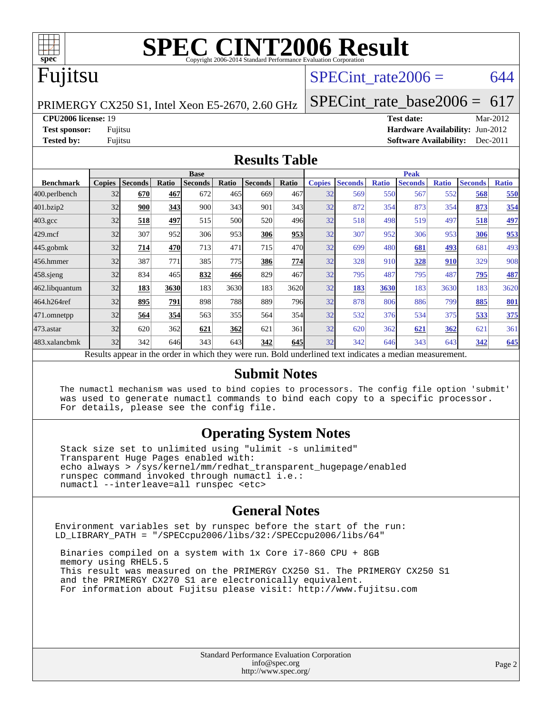

### Fujitsu

#### SPECint rate $2006 = 644$

PRIMERGY CX250 S1, Intel Xeon E5-2670, 2.60 GHz

**[Test sponsor:](http://www.spec.org/auto/cpu2006/Docs/result-fields.html#Testsponsor)** Fujitsu **[Hardware Availability:](http://www.spec.org/auto/cpu2006/Docs/result-fields.html#HardwareAvailability)** Jun-2012

**[Tested by:](http://www.spec.org/auto/cpu2006/Docs/result-fields.html#Testedby)** Fujitsu **[Software Availability:](http://www.spec.org/auto/cpu2006/Docs/result-fields.html#SoftwareAvailability)** Dec-2011

[SPECint\\_rate\\_base2006 =](http://www.spec.org/auto/cpu2006/Docs/result-fields.html#SPECintratebase2006) 617 **[CPU2006 license:](http://www.spec.org/auto/cpu2006/Docs/result-fields.html#CPU2006license)** 19 **[Test date:](http://www.spec.org/auto/cpu2006/Docs/result-fields.html#Testdate)** Mar-2012

**[Results Table](http://www.spec.org/auto/cpu2006/Docs/result-fields.html#ResultsTable)**

|                                                                                                          |               | <b>Base</b>    |       |                |       |                | <b>Peak</b> |               |                |              |                |              |                |              |
|----------------------------------------------------------------------------------------------------------|---------------|----------------|-------|----------------|-------|----------------|-------------|---------------|----------------|--------------|----------------|--------------|----------------|--------------|
| <b>Benchmark</b>                                                                                         | <b>Copies</b> | <b>Seconds</b> | Ratio | <b>Seconds</b> | Ratio | <b>Seconds</b> | Ratio       | <b>Copies</b> | <b>Seconds</b> | <b>Ratio</b> | <b>Seconds</b> | <b>Ratio</b> | <b>Seconds</b> | <b>Ratio</b> |
| $ 400.\text{perlbench}$                                                                                  | 32            | 670            | 467   | 672            | 465   | 669            | 467         | 32            | 569            | 550          | 567            | 552          | 568            | 550          |
| 401.bzip2                                                                                                | 32            | 900            | 343   | 900            | 343   | 901            | 343         | 32            | 872            | 354          | 873            | 354          | 873            | 354          |
| $403.\text{gcc}$                                                                                         | 32            | 518            | 497   | 515            | 500   | 520            | 496         | 32            | 518            | 498          | 519            | 497          | 518            | <u>497</u>   |
| $429$ .mcf                                                                                               | 32            | 307            | 952   | 306            | 953   | 306            | 953         | 32            | 307            | 952          | 306            | 953          | 306            | 953          |
| $445$ .gobmk                                                                                             | 32            | 714            | 470   | 713            | 471   | 715            | 470         | 32            | 699            | 480          | 681            | 493          | 681            | 493          |
| 456.hmmer                                                                                                | 32            | 387            | 771   | 385            | 775   | 386            | 774         | 32            | 328            | 910          | 328            | <u>910</u>   | 329            | 908          |
| 458.sjeng                                                                                                | 32            | 834            | 465   | 832            | 466   | 829            | 467         | 32            | 795            | 487          | 795            | 487          | 795            | 487          |
| 462.libquantum                                                                                           | 32            | 183            | 3630  | 183            | 3630  | 183            | 3620        | 32            | 183            | 3630         | 183            | 3630         | 183            | 3620         |
| 464.h264ref                                                                                              | 32            | 895            | 791   | 898            | 788   | 889            | 796         | 32            | 878            | 806          | 886            | 799          | 885            | <b>801</b>   |
| 471.omnetpp                                                                                              | 32            | 564            | 354   | 563            | 355   | 564            | 354         | 32            | 532            | 376          | 534            | 375          | 533            | 375          |
| $473$ . astar                                                                                            | 32            | 620            | 362   | 621            | 362   | 621            | 361         | 32            | 620            | 362          | 621            | 362          | 621            | 361          |
| 483.xalancbmk                                                                                            | 32            | 342            | 646   | 343            | 643   | 342            | 645         | 32            | 342            | 646          | 343            | 643          | 342            | 645          |
| Results appear in the order in which they were run. Bold underlined text indicates a median measurement. |               |                |       |                |       |                |             |               |                |              |                |              |                |              |

#### **[Submit Notes](http://www.spec.org/auto/cpu2006/Docs/result-fields.html#SubmitNotes)**

 The numactl mechanism was used to bind copies to processors. The config file option 'submit' was used to generate numactl commands to bind each copy to a specific processor. For details, please see the config file.

#### **[Operating System Notes](http://www.spec.org/auto/cpu2006/Docs/result-fields.html#OperatingSystemNotes)**

 Stack size set to unlimited using "ulimit -s unlimited" Transparent Huge Pages enabled with: echo always > /sys/kernel/mm/redhat\_transparent\_hugepage/enabled runspec command invoked through numactl i.e.: numactl --interleave=all runspec <etc>

#### **[General Notes](http://www.spec.org/auto/cpu2006/Docs/result-fields.html#GeneralNotes)**

Environment variables set by runspec before the start of the run: LD\_LIBRARY\_PATH = "/SPECcpu2006/libs/32:/SPECcpu2006/libs/64"

 Binaries compiled on a system with 1x Core i7-860 CPU + 8GB memory using RHEL5.5 This result was measured on the PRIMERGY CX250 S1. The PRIMERGY CX250 S1 and the PRIMERGY CX270 S1 are electronically equivalent. For information about Fujitsu please visit: <http://www.fujitsu.com>

> Standard Performance Evaluation Corporation [info@spec.org](mailto:info@spec.org) <http://www.spec.org/>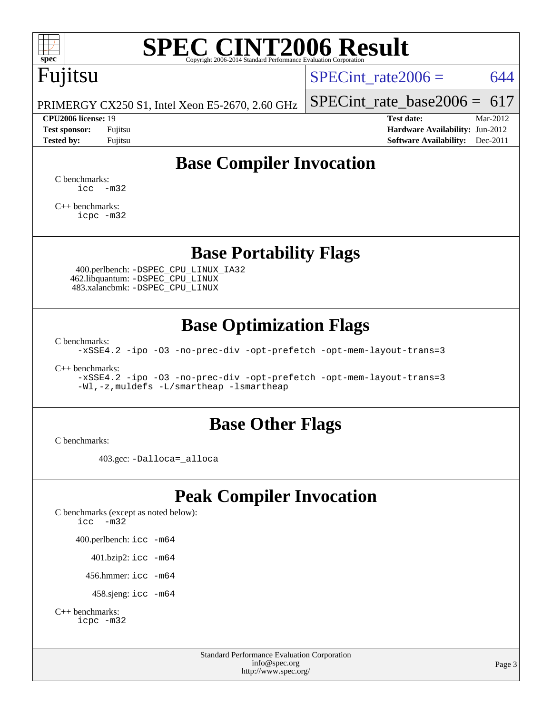

## Fujitsu

SPECint rate $2006 = 644$ 

PRIMERGY CX250 S1, Intel Xeon E5-2670, 2.60 GHz

#### **[CPU2006 license:](http://www.spec.org/auto/cpu2006/Docs/result-fields.html#CPU2006license)** 19 **[Test date:](http://www.spec.org/auto/cpu2006/Docs/result-fields.html#Testdate)** Mar-2012

[SPECint\\_rate\\_base2006 =](http://www.spec.org/auto/cpu2006/Docs/result-fields.html#SPECintratebase2006)  $617$ 

**[Test sponsor:](http://www.spec.org/auto/cpu2006/Docs/result-fields.html#Testsponsor)** Fujitsu **[Hardware Availability:](http://www.spec.org/auto/cpu2006/Docs/result-fields.html#HardwareAvailability)** Jun-2012 **[Tested by:](http://www.spec.org/auto/cpu2006/Docs/result-fields.html#Testedby)** Fujitsu **Fugital Example 2011 [Software Availability:](http://www.spec.org/auto/cpu2006/Docs/result-fields.html#SoftwareAvailability)** Dec-2011

### **[Base Compiler Invocation](http://www.spec.org/auto/cpu2006/Docs/result-fields.html#BaseCompilerInvocation)**

[C benchmarks](http://www.spec.org/auto/cpu2006/Docs/result-fields.html#Cbenchmarks):  $\text{icc}$   $-\text{m32}$ 

[C++ benchmarks:](http://www.spec.org/auto/cpu2006/Docs/result-fields.html#CXXbenchmarks) [icpc -m32](http://www.spec.org/cpu2006/results/res2012q3/cpu2006-20120605-22833.flags.html#user_CXXbase_intel_icpc_4e5a5ef1a53fd332b3c49e69c3330699)

#### **[Base Portability Flags](http://www.spec.org/auto/cpu2006/Docs/result-fields.html#BasePortabilityFlags)**

 400.perlbench: [-DSPEC\\_CPU\\_LINUX\\_IA32](http://www.spec.org/cpu2006/results/res2012q3/cpu2006-20120605-22833.flags.html#b400.perlbench_baseCPORTABILITY_DSPEC_CPU_LINUX_IA32) 462.libquantum: [-DSPEC\\_CPU\\_LINUX](http://www.spec.org/cpu2006/results/res2012q3/cpu2006-20120605-22833.flags.html#b462.libquantum_baseCPORTABILITY_DSPEC_CPU_LINUX) 483.xalancbmk: [-DSPEC\\_CPU\\_LINUX](http://www.spec.org/cpu2006/results/res2012q3/cpu2006-20120605-22833.flags.html#b483.xalancbmk_baseCXXPORTABILITY_DSPEC_CPU_LINUX)

### **[Base Optimization Flags](http://www.spec.org/auto/cpu2006/Docs/result-fields.html#BaseOptimizationFlags)**

[C benchmarks](http://www.spec.org/auto/cpu2006/Docs/result-fields.html#Cbenchmarks):

[-xSSE4.2](http://www.spec.org/cpu2006/results/res2012q3/cpu2006-20120605-22833.flags.html#user_CCbase_f-xSSE42_f91528193cf0b216347adb8b939d4107) [-ipo](http://www.spec.org/cpu2006/results/res2012q3/cpu2006-20120605-22833.flags.html#user_CCbase_f-ipo) [-O3](http://www.spec.org/cpu2006/results/res2012q3/cpu2006-20120605-22833.flags.html#user_CCbase_f-O3) [-no-prec-div](http://www.spec.org/cpu2006/results/res2012q3/cpu2006-20120605-22833.flags.html#user_CCbase_f-no-prec-div) [-opt-prefetch](http://www.spec.org/cpu2006/results/res2012q3/cpu2006-20120605-22833.flags.html#user_CCbase_f-opt-prefetch) [-opt-mem-layout-trans=3](http://www.spec.org/cpu2006/results/res2012q3/cpu2006-20120605-22833.flags.html#user_CCbase_f-opt-mem-layout-trans_a7b82ad4bd7abf52556d4961a2ae94d5)

[C++ benchmarks:](http://www.spec.org/auto/cpu2006/Docs/result-fields.html#CXXbenchmarks)

[-xSSE4.2](http://www.spec.org/cpu2006/results/res2012q3/cpu2006-20120605-22833.flags.html#user_CXXbase_f-xSSE42_f91528193cf0b216347adb8b939d4107) [-ipo](http://www.spec.org/cpu2006/results/res2012q3/cpu2006-20120605-22833.flags.html#user_CXXbase_f-ipo) [-O3](http://www.spec.org/cpu2006/results/res2012q3/cpu2006-20120605-22833.flags.html#user_CXXbase_f-O3) [-no-prec-div](http://www.spec.org/cpu2006/results/res2012q3/cpu2006-20120605-22833.flags.html#user_CXXbase_f-no-prec-div) [-opt-prefetch](http://www.spec.org/cpu2006/results/res2012q3/cpu2006-20120605-22833.flags.html#user_CXXbase_f-opt-prefetch) [-opt-mem-layout-trans=3](http://www.spec.org/cpu2006/results/res2012q3/cpu2006-20120605-22833.flags.html#user_CXXbase_f-opt-mem-layout-trans_a7b82ad4bd7abf52556d4961a2ae94d5) [-Wl,-z,muldefs](http://www.spec.org/cpu2006/results/res2012q3/cpu2006-20120605-22833.flags.html#user_CXXbase_link_force_multiple1_74079c344b956b9658436fd1b6dd3a8a) [-L/smartheap -lsmartheap](http://www.spec.org/cpu2006/results/res2012q3/cpu2006-20120605-22833.flags.html#user_CXXbase_SmartHeap_7c9e394a5779e1a7fec7c221e123830c)

#### **[Base Other Flags](http://www.spec.org/auto/cpu2006/Docs/result-fields.html#BaseOtherFlags)**

[C benchmarks](http://www.spec.org/auto/cpu2006/Docs/result-fields.html#Cbenchmarks):

403.gcc: [-Dalloca=\\_alloca](http://www.spec.org/cpu2006/results/res2012q3/cpu2006-20120605-22833.flags.html#b403.gcc_baseEXTRA_CFLAGS_Dalloca_be3056838c12de2578596ca5467af7f3)

### **[Peak Compiler Invocation](http://www.spec.org/auto/cpu2006/Docs/result-fields.html#PeakCompilerInvocation)**

[C benchmarks \(except as noted below\)](http://www.spec.org/auto/cpu2006/Docs/result-fields.html#Cbenchmarksexceptasnotedbelow): [icc -m32](http://www.spec.org/cpu2006/results/res2012q3/cpu2006-20120605-22833.flags.html#user_CCpeak_intel_icc_5ff4a39e364c98233615fdd38438c6f2) 400.perlbench: [icc -m64](http://www.spec.org/cpu2006/results/res2012q3/cpu2006-20120605-22833.flags.html#user_peakCCLD400_perlbench_intel_icc_64bit_bda6cc9af1fdbb0edc3795bac97ada53) 401.bzip2: [icc -m64](http://www.spec.org/cpu2006/results/res2012q3/cpu2006-20120605-22833.flags.html#user_peakCCLD401_bzip2_intel_icc_64bit_bda6cc9af1fdbb0edc3795bac97ada53)

456.hmmer: [icc -m64](http://www.spec.org/cpu2006/results/res2012q3/cpu2006-20120605-22833.flags.html#user_peakCCLD456_hmmer_intel_icc_64bit_bda6cc9af1fdbb0edc3795bac97ada53)

458.sjeng: [icc -m64](http://www.spec.org/cpu2006/results/res2012q3/cpu2006-20120605-22833.flags.html#user_peakCCLD458_sjeng_intel_icc_64bit_bda6cc9af1fdbb0edc3795bac97ada53)

```
C++ benchmarks: 
icpc -m32
```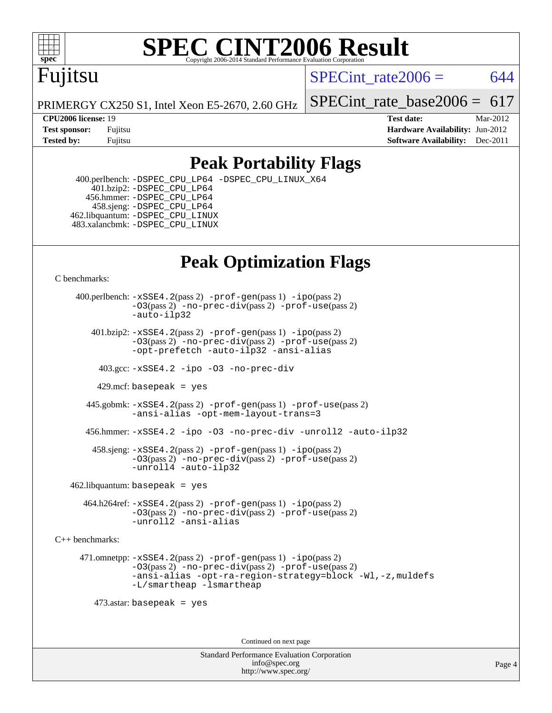

## Fujitsu

SPECint rate $2006 = 644$ 

PRIMERGY CX250 S1, Intel Xeon E5-2670, 2.60 GHz

SPECint rate base2006 =  $617$ 

**[CPU2006 license:](http://www.spec.org/auto/cpu2006/Docs/result-fields.html#CPU2006license)** 19 **[Test date:](http://www.spec.org/auto/cpu2006/Docs/result-fields.html#Testdate)** Mar-2012 **[Test sponsor:](http://www.spec.org/auto/cpu2006/Docs/result-fields.html#Testsponsor)** Fujitsu **[Hardware Availability:](http://www.spec.org/auto/cpu2006/Docs/result-fields.html#HardwareAvailability)** Jun-2012 **[Tested by:](http://www.spec.org/auto/cpu2006/Docs/result-fields.html#Testedby)** Fujitsu **Fugital Example 2011 [Software Availability:](http://www.spec.org/auto/cpu2006/Docs/result-fields.html#SoftwareAvailability)** Dec-2011

### **[Peak Portability Flags](http://www.spec.org/auto/cpu2006/Docs/result-fields.html#PeakPortabilityFlags)**

 400.perlbench: [-DSPEC\\_CPU\\_LP64](http://www.spec.org/cpu2006/results/res2012q3/cpu2006-20120605-22833.flags.html#b400.perlbench_peakCPORTABILITY_DSPEC_CPU_LP64) [-DSPEC\\_CPU\\_LINUX\\_X64](http://www.spec.org/cpu2006/results/res2012q3/cpu2006-20120605-22833.flags.html#b400.perlbench_peakCPORTABILITY_DSPEC_CPU_LINUX_X64) 401.bzip2: [-DSPEC\\_CPU\\_LP64](http://www.spec.org/cpu2006/results/res2012q3/cpu2006-20120605-22833.flags.html#suite_peakCPORTABILITY401_bzip2_DSPEC_CPU_LP64) 456.hmmer: [-DSPEC\\_CPU\\_LP64](http://www.spec.org/cpu2006/results/res2012q3/cpu2006-20120605-22833.flags.html#suite_peakCPORTABILITY456_hmmer_DSPEC_CPU_LP64) 458.sjeng: [-DSPEC\\_CPU\\_LP64](http://www.spec.org/cpu2006/results/res2012q3/cpu2006-20120605-22833.flags.html#suite_peakCPORTABILITY458_sjeng_DSPEC_CPU_LP64) 462.libquantum: [-DSPEC\\_CPU\\_LINUX](http://www.spec.org/cpu2006/results/res2012q3/cpu2006-20120605-22833.flags.html#b462.libquantum_peakCPORTABILITY_DSPEC_CPU_LINUX) 483.xalancbmk: [-DSPEC\\_CPU\\_LINUX](http://www.spec.org/cpu2006/results/res2012q3/cpu2006-20120605-22833.flags.html#b483.xalancbmk_peakCXXPORTABILITY_DSPEC_CPU_LINUX)

### **[Peak Optimization Flags](http://www.spec.org/auto/cpu2006/Docs/result-fields.html#PeakOptimizationFlags)**

[C benchmarks](http://www.spec.org/auto/cpu2006/Docs/result-fields.html#Cbenchmarks):

 400.perlbench: [-xSSE4.2](http://www.spec.org/cpu2006/results/res2012q3/cpu2006-20120605-22833.flags.html#user_peakPASS2_CFLAGSPASS2_LDCFLAGS400_perlbench_f-xSSE42_f91528193cf0b216347adb8b939d4107)(pass 2) [-prof-gen](http://www.spec.org/cpu2006/results/res2012q3/cpu2006-20120605-22833.flags.html#user_peakPASS1_CFLAGSPASS1_LDCFLAGS400_perlbench_prof_gen_e43856698f6ca7b7e442dfd80e94a8fc)(pass 1) [-ipo](http://www.spec.org/cpu2006/results/res2012q3/cpu2006-20120605-22833.flags.html#user_peakPASS2_CFLAGSPASS2_LDCFLAGS400_perlbench_f-ipo)(pass 2) [-O3](http://www.spec.org/cpu2006/results/res2012q3/cpu2006-20120605-22833.flags.html#user_peakPASS2_CFLAGSPASS2_LDCFLAGS400_perlbench_f-O3)(pass 2) [-no-prec-div](http://www.spec.org/cpu2006/results/res2012q3/cpu2006-20120605-22833.flags.html#user_peakPASS2_CFLAGSPASS2_LDCFLAGS400_perlbench_f-no-prec-div)(pass 2) [-prof-use](http://www.spec.org/cpu2006/results/res2012q3/cpu2006-20120605-22833.flags.html#user_peakPASS2_CFLAGSPASS2_LDCFLAGS400_perlbench_prof_use_bccf7792157ff70d64e32fe3e1250b55)(pass 2) [-auto-ilp32](http://www.spec.org/cpu2006/results/res2012q3/cpu2006-20120605-22833.flags.html#user_peakCOPTIMIZE400_perlbench_f-auto-ilp32)  $401.bzip2: -xSSE4.2(pass 2) -prof-qen(pass 1) -ipo(pass 2)$  $401.bzip2: -xSSE4.2(pass 2) -prof-qen(pass 1) -ipo(pass 2)$  $401.bzip2: -xSSE4.2(pass 2) -prof-qen(pass 1) -ipo(pass 2)$  $401.bzip2: -xSSE4.2(pass 2) -prof-qen(pass 1) -ipo(pass 2)$  $401.bzip2: -xSSE4.2(pass 2) -prof-qen(pass 1) -ipo(pass 2)$ [-O3](http://www.spec.org/cpu2006/results/res2012q3/cpu2006-20120605-22833.flags.html#user_peakPASS2_CFLAGSPASS2_LDCFLAGS401_bzip2_f-O3)(pass 2) [-no-prec-div](http://www.spec.org/cpu2006/results/res2012q3/cpu2006-20120605-22833.flags.html#user_peakPASS2_CFLAGSPASS2_LDCFLAGS401_bzip2_f-no-prec-div)(pass 2) [-prof-use](http://www.spec.org/cpu2006/results/res2012q3/cpu2006-20120605-22833.flags.html#user_peakPASS2_CFLAGSPASS2_LDCFLAGS401_bzip2_prof_use_bccf7792157ff70d64e32fe3e1250b55)(pass 2) [-opt-prefetch](http://www.spec.org/cpu2006/results/res2012q3/cpu2006-20120605-22833.flags.html#user_peakCOPTIMIZE401_bzip2_f-opt-prefetch) [-auto-ilp32](http://www.spec.org/cpu2006/results/res2012q3/cpu2006-20120605-22833.flags.html#user_peakCOPTIMIZE401_bzip2_f-auto-ilp32) [-ansi-alias](http://www.spec.org/cpu2006/results/res2012q3/cpu2006-20120605-22833.flags.html#user_peakCOPTIMIZE401_bzip2_f-ansi-alias) 403.gcc: [-xSSE4.2](http://www.spec.org/cpu2006/results/res2012q3/cpu2006-20120605-22833.flags.html#user_peakCOPTIMIZE403_gcc_f-xSSE42_f91528193cf0b216347adb8b939d4107) [-ipo](http://www.spec.org/cpu2006/results/res2012q3/cpu2006-20120605-22833.flags.html#user_peakCOPTIMIZE403_gcc_f-ipo) [-O3](http://www.spec.org/cpu2006/results/res2012q3/cpu2006-20120605-22833.flags.html#user_peakCOPTIMIZE403_gcc_f-O3) [-no-prec-div](http://www.spec.org/cpu2006/results/res2012q3/cpu2006-20120605-22833.flags.html#user_peakCOPTIMIZE403_gcc_f-no-prec-div) 429.mcf: basepeak = yes 445.gobmk: [-xSSE4.2](http://www.spec.org/cpu2006/results/res2012q3/cpu2006-20120605-22833.flags.html#user_peakPASS2_CFLAGSPASS2_LDCFLAGS445_gobmk_f-xSSE42_f91528193cf0b216347adb8b939d4107)(pass 2) [-prof-gen](http://www.spec.org/cpu2006/results/res2012q3/cpu2006-20120605-22833.flags.html#user_peakPASS1_CFLAGSPASS1_LDCFLAGS445_gobmk_prof_gen_e43856698f6ca7b7e442dfd80e94a8fc)(pass 1) [-prof-use](http://www.spec.org/cpu2006/results/res2012q3/cpu2006-20120605-22833.flags.html#user_peakPASS2_CFLAGSPASS2_LDCFLAGS445_gobmk_prof_use_bccf7792157ff70d64e32fe3e1250b55)(pass 2) [-ansi-alias](http://www.spec.org/cpu2006/results/res2012q3/cpu2006-20120605-22833.flags.html#user_peakCOPTIMIZE445_gobmk_f-ansi-alias) [-opt-mem-layout-trans=3](http://www.spec.org/cpu2006/results/res2012q3/cpu2006-20120605-22833.flags.html#user_peakCOPTIMIZE445_gobmk_f-opt-mem-layout-trans_a7b82ad4bd7abf52556d4961a2ae94d5) 456.hmmer: [-xSSE4.2](http://www.spec.org/cpu2006/results/res2012q3/cpu2006-20120605-22833.flags.html#user_peakCOPTIMIZE456_hmmer_f-xSSE42_f91528193cf0b216347adb8b939d4107) [-ipo](http://www.spec.org/cpu2006/results/res2012q3/cpu2006-20120605-22833.flags.html#user_peakCOPTIMIZE456_hmmer_f-ipo) [-O3](http://www.spec.org/cpu2006/results/res2012q3/cpu2006-20120605-22833.flags.html#user_peakCOPTIMIZE456_hmmer_f-O3) [-no-prec-div](http://www.spec.org/cpu2006/results/res2012q3/cpu2006-20120605-22833.flags.html#user_peakCOPTIMIZE456_hmmer_f-no-prec-div) [-unroll2](http://www.spec.org/cpu2006/results/res2012q3/cpu2006-20120605-22833.flags.html#user_peakCOPTIMIZE456_hmmer_f-unroll_784dae83bebfb236979b41d2422d7ec2) [-auto-ilp32](http://www.spec.org/cpu2006/results/res2012q3/cpu2006-20120605-22833.flags.html#user_peakCOPTIMIZE456_hmmer_f-auto-ilp32) 458.sjeng: [-xSSE4.2](http://www.spec.org/cpu2006/results/res2012q3/cpu2006-20120605-22833.flags.html#user_peakPASS2_CFLAGSPASS2_LDCFLAGS458_sjeng_f-xSSE42_f91528193cf0b216347adb8b939d4107)(pass 2) [-prof-gen](http://www.spec.org/cpu2006/results/res2012q3/cpu2006-20120605-22833.flags.html#user_peakPASS1_CFLAGSPASS1_LDCFLAGS458_sjeng_prof_gen_e43856698f6ca7b7e442dfd80e94a8fc)(pass 1) [-ipo](http://www.spec.org/cpu2006/results/res2012q3/cpu2006-20120605-22833.flags.html#user_peakPASS2_CFLAGSPASS2_LDCFLAGS458_sjeng_f-ipo)(pass 2) [-O3](http://www.spec.org/cpu2006/results/res2012q3/cpu2006-20120605-22833.flags.html#user_peakPASS2_CFLAGSPASS2_LDCFLAGS458_sjeng_f-O3)(pass 2) [-no-prec-div](http://www.spec.org/cpu2006/results/res2012q3/cpu2006-20120605-22833.flags.html#user_peakPASS2_CFLAGSPASS2_LDCFLAGS458_sjeng_f-no-prec-div)(pass 2) [-prof-use](http://www.spec.org/cpu2006/results/res2012q3/cpu2006-20120605-22833.flags.html#user_peakPASS2_CFLAGSPASS2_LDCFLAGS458_sjeng_prof_use_bccf7792157ff70d64e32fe3e1250b55)(pass 2) [-unroll4](http://www.spec.org/cpu2006/results/res2012q3/cpu2006-20120605-22833.flags.html#user_peakCOPTIMIZE458_sjeng_f-unroll_4e5e4ed65b7fd20bdcd365bec371b81f) [-auto-ilp32](http://www.spec.org/cpu2006/results/res2012q3/cpu2006-20120605-22833.flags.html#user_peakCOPTIMIZE458_sjeng_f-auto-ilp32)  $462$ .libquantum: basepeak = yes 464.h264ref: [-xSSE4.2](http://www.spec.org/cpu2006/results/res2012q3/cpu2006-20120605-22833.flags.html#user_peakPASS2_CFLAGSPASS2_LDCFLAGS464_h264ref_f-xSSE42_f91528193cf0b216347adb8b939d4107)(pass 2) [-prof-gen](http://www.spec.org/cpu2006/results/res2012q3/cpu2006-20120605-22833.flags.html#user_peakPASS1_CFLAGSPASS1_LDCFLAGS464_h264ref_prof_gen_e43856698f6ca7b7e442dfd80e94a8fc)(pass 1) [-ipo](http://www.spec.org/cpu2006/results/res2012q3/cpu2006-20120605-22833.flags.html#user_peakPASS2_CFLAGSPASS2_LDCFLAGS464_h264ref_f-ipo)(pass 2) [-O3](http://www.spec.org/cpu2006/results/res2012q3/cpu2006-20120605-22833.flags.html#user_peakPASS2_CFLAGSPASS2_LDCFLAGS464_h264ref_f-O3)(pass 2) [-no-prec-div](http://www.spec.org/cpu2006/results/res2012q3/cpu2006-20120605-22833.flags.html#user_peakPASS2_CFLAGSPASS2_LDCFLAGS464_h264ref_f-no-prec-div)(pass 2) [-prof-use](http://www.spec.org/cpu2006/results/res2012q3/cpu2006-20120605-22833.flags.html#user_peakPASS2_CFLAGSPASS2_LDCFLAGS464_h264ref_prof_use_bccf7792157ff70d64e32fe3e1250b55)(pass 2) [-unroll2](http://www.spec.org/cpu2006/results/res2012q3/cpu2006-20120605-22833.flags.html#user_peakCOPTIMIZE464_h264ref_f-unroll_784dae83bebfb236979b41d2422d7ec2) [-ansi-alias](http://www.spec.org/cpu2006/results/res2012q3/cpu2006-20120605-22833.flags.html#user_peakCOPTIMIZE464_h264ref_f-ansi-alias) [C++ benchmarks:](http://www.spec.org/auto/cpu2006/Docs/result-fields.html#CXXbenchmarks) 471.omnetpp: [-xSSE4.2](http://www.spec.org/cpu2006/results/res2012q3/cpu2006-20120605-22833.flags.html#user_peakPASS2_CXXFLAGSPASS2_LDCXXFLAGS471_omnetpp_f-xSSE42_f91528193cf0b216347adb8b939d4107)(pass 2) [-prof-gen](http://www.spec.org/cpu2006/results/res2012q3/cpu2006-20120605-22833.flags.html#user_peakPASS1_CXXFLAGSPASS1_LDCXXFLAGS471_omnetpp_prof_gen_e43856698f6ca7b7e442dfd80e94a8fc)(pass 1) [-ipo](http://www.spec.org/cpu2006/results/res2012q3/cpu2006-20120605-22833.flags.html#user_peakPASS2_CXXFLAGSPASS2_LDCXXFLAGS471_omnetpp_f-ipo)(pass 2) [-O3](http://www.spec.org/cpu2006/results/res2012q3/cpu2006-20120605-22833.flags.html#user_peakPASS2_CXXFLAGSPASS2_LDCXXFLAGS471_omnetpp_f-O3)(pass 2) [-no-prec-div](http://www.spec.org/cpu2006/results/res2012q3/cpu2006-20120605-22833.flags.html#user_peakPASS2_CXXFLAGSPASS2_LDCXXFLAGS471_omnetpp_f-no-prec-div)(pass 2) [-prof-use](http://www.spec.org/cpu2006/results/res2012q3/cpu2006-20120605-22833.flags.html#user_peakPASS2_CXXFLAGSPASS2_LDCXXFLAGS471_omnetpp_prof_use_bccf7792157ff70d64e32fe3e1250b55)(pass 2) [-ansi-alias](http://www.spec.org/cpu2006/results/res2012q3/cpu2006-20120605-22833.flags.html#user_peakCXXOPTIMIZE471_omnetpp_f-ansi-alias) [-opt-ra-region-strategy=block](http://www.spec.org/cpu2006/results/res2012q3/cpu2006-20120605-22833.flags.html#user_peakCXXOPTIMIZE471_omnetpp_f-opt-ra-region-strategy_a0a37c372d03933b2a18d4af463c1f69) [-Wl,-z,muldefs](http://www.spec.org/cpu2006/results/res2012q3/cpu2006-20120605-22833.flags.html#user_peakEXTRA_LDFLAGS471_omnetpp_link_force_multiple1_74079c344b956b9658436fd1b6dd3a8a) [-L/smartheap -lsmartheap](http://www.spec.org/cpu2006/results/res2012q3/cpu2006-20120605-22833.flags.html#user_peakEXTRA_LIBS471_omnetpp_SmartHeap_7c9e394a5779e1a7fec7c221e123830c) 473.astar: basepeak = yes Continued on next page

> Standard Performance Evaluation Corporation [info@spec.org](mailto:info@spec.org) <http://www.spec.org/>